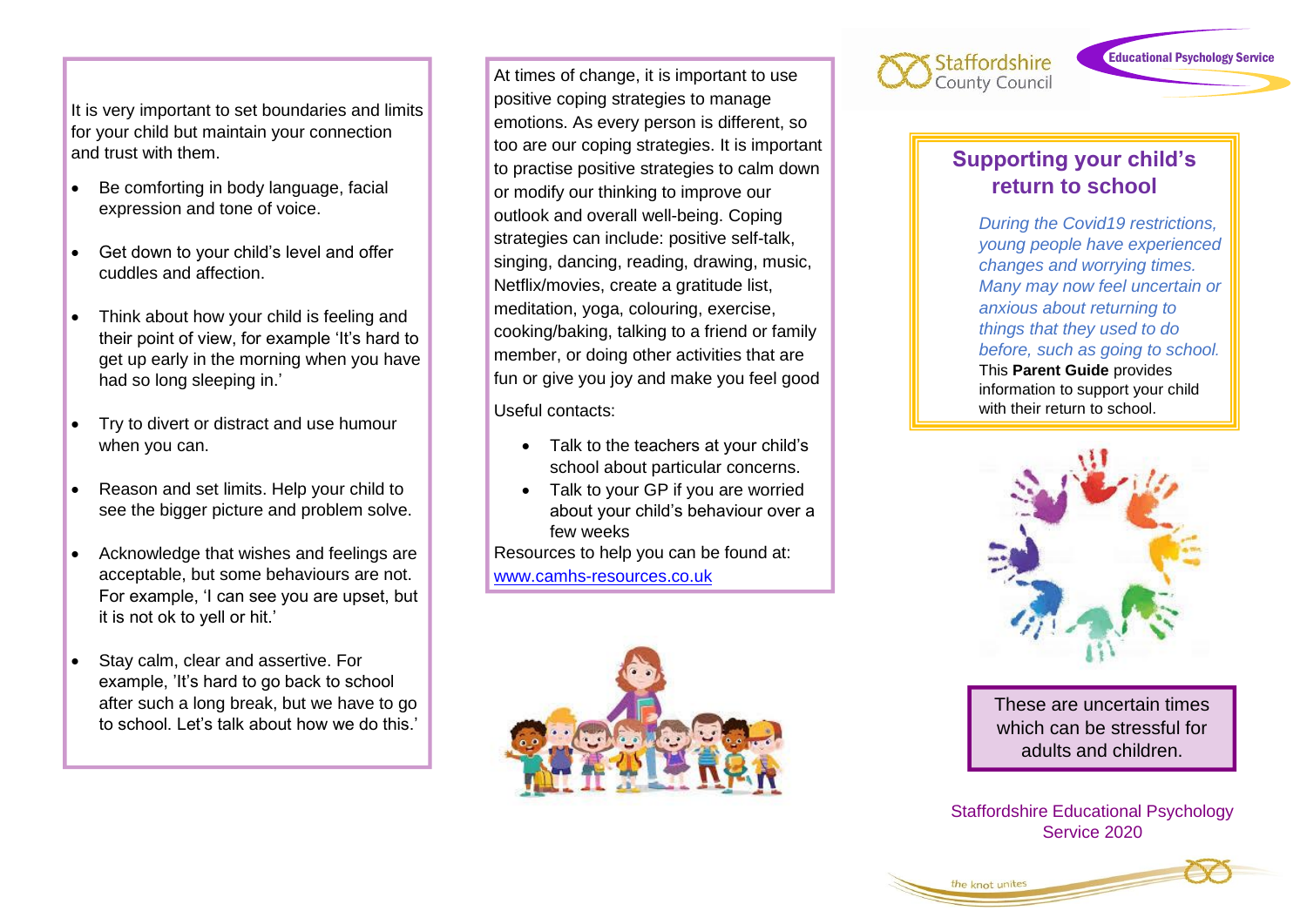It is very important to set boundaries and limits for your child but maintain your connection and trust with them.

- Be comforting in body language, facial expression and tone of voice.
- Get down to your child's level and offer cuddles and affection.
- Think about how your child is feeling and their point of view, for example 'It's hard to get up early in the morning when you have had so long sleeping in.'
- Try to divert or distract and use humour when you can.
- Reason and set limits. Help your child to see the bigger picture and problem solve.
- Acknowledge that wishes and feelings are acceptable, but some behaviours are not. For example, 'I can see you are upset, but it is not ok to yell or hit.'
- Stay calm, clear and assertive. For example, 'It's hard to go back to school after such a long break, but we have to go to school. Let's talk about how we do this.'

At times of change, it is important to use positive coping strategies to manage emotions. As every person is different, so too are our coping strategies. It is important to practise positive strategies to calm down or modify our thinking to improve our outlook and overall well-being. Coping strategies can include: positive self-talk, singing, dancing, reading, drawing, music, Netflix/movies, create a gratitude list, meditation, yoga, colouring, exercise, cooking/baking, talking to a friend or family member, or doing other activities that are fun or give you joy and make you feel good

Useful contacts:

- Talk to the teachers at your child's school about particular concerns.
- Talk to your GP if you are worried about your child's behaviour over a few weeks

Resources to help you can be found at: [www.camhs-resources.co.uk](http://www.camhs-resources.co.uk/)





## **Supporting your child's return to school**

*During the Covid19 restrictions, young people have experienced changes and worrying times. Many may now feel uncertain or anxious about returning to things that they used to do before, such as going to school.*  This **Parent Guide** provides information to support your child with their return to school.



These are uncertain times which can be stressful for adults and children.

Staffordshire Educational Psychology Service 2020